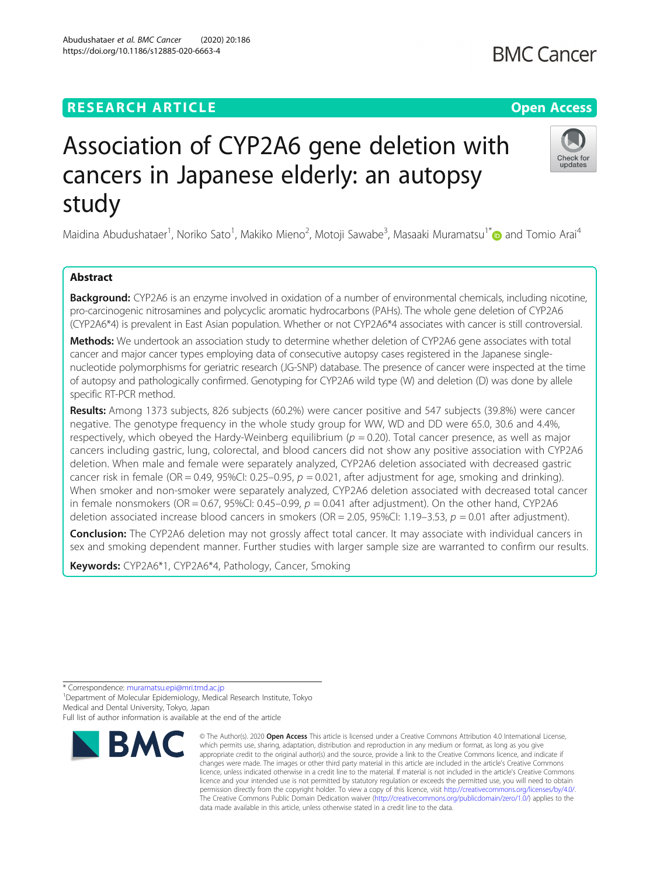# **RESEARCH ARTICLE Example 2014 12:30 The Contract of Contract ACCESS**

# Association of CYP2A6 gene deletion with cancers in Japanese elderly: an autopsy study

Maidina Abudushataer<sup>1</sup>, Noriko Sato<sup>1</sup>, Makiko Mieno<sup>2</sup>, Motoji Sawabe<sup>3</sup>, Masaaki Muramatsu<sup>1[\\*](http://orcid.org/0000-0001-6740-6900)</sup>@ and Tomio Arai<sup>4</sup>

# Abstract

**Background:** CYP2A6 is an enzyme involved in oxidation of a number of environmental chemicals, including nicotine, pro-carcinogenic nitrosamines and polycyclic aromatic hydrocarbons (PAHs). The whole gene deletion of CYP2A6 (CYP2A6\*4) is prevalent in East Asian population. Whether or not CYP2A6\*4 associates with cancer is still controversial.

Methods: We undertook an association study to determine whether deletion of CYP2A6 gene associates with total cancer and major cancer types employing data of consecutive autopsy cases registered in the Japanese singlenucleotide polymorphisms for geriatric research (JG-SNP) database. The presence of cancer were inspected at the time of autopsy and pathologically confirmed. Genotyping for CYP2A6 wild type (W) and deletion (D) was done by allele specific RT-PCR method.

Results: Among 1373 subjects, 826 subjects (60.2%) were cancer positive and 547 subjects (39.8%) were cancer negative. The genotype frequency in the whole study group for WW, WD and DD were 65.0, 30.6 and 4.4%, respectively, which obeyed the Hardy-Weinberg equilibrium ( $p = 0.20$ ). Total cancer presence, as well as major cancers including gastric, lung, colorectal, and blood cancers did not show any positive association with CYP2A6 deletion. When male and female were separately analyzed, CYP2A6 deletion associated with decreased gastric cancer risk in female (OR = 0.49, 95%CI: 0.25–0.95,  $p = 0.021$ , after adjustment for age, smoking and drinking). When smoker and non-smoker were separately analyzed, CYP2A6 deletion associated with decreased total cancer in female nonsmokers (OR = 0.67, 95%CI: 0.45–0.99,  $p = 0.041$  after adjustment). On the other hand, CYP2A6 deletion associated increase blood cancers in smokers (OR = 2.05, 95%CI: 1.19–3.53,  $p = 0.01$  after adjustment).

**Conclusion:** The CYP2A6 deletion may not grossly affect total cancer. It may associate with individual cancers in sex and smoking dependent manner. Further studies with larger sample size are warranted to confirm our results.

data made available in this article, unless otherwise stated in a credit line to the data.

which permits use, sharing, adaptation, distribution and reproduction in any medium or format, as long as you give appropriate credit to the original author(s) and the source, provide a link to the Creative Commons licence, and indicate if changes were made. The images or other third party material in this article are included in the article's Creative Commons licence, unless indicated otherwise in a credit line to the material. If material is not included in the article's Creative Commons licence and your intended use is not permitted by statutory regulation or exceeds the permitted use, you will need to obtain permission directly from the copyright holder. To view a copy of this licence, visit [http://creativecommons.org/licenses/by/4.0/.](http://creativecommons.org/licenses/by/4.0/) The Creative Commons Public Domain Dedication waiver [\(http://creativecommons.org/publicdomain/zero/1.0/](http://creativecommons.org/publicdomain/zero/1.0/)) applies to the

Keywords: CYP2A6\*1, CYP2A6\*4, Pathology, Cancer, Smoking

\* Correspondence: [muramatsu.epi@mri.tmd.ac.jp](mailto:muramatsu.epi@mri.tmd.ac.jp) <sup>1</sup>

<sup>1</sup> Department of Molecular Epidemiology, Medical Research Institute, Tokyo Medical and Dental University, Tokyo, Japan







Full list of author information is available at the end of the article **RMC**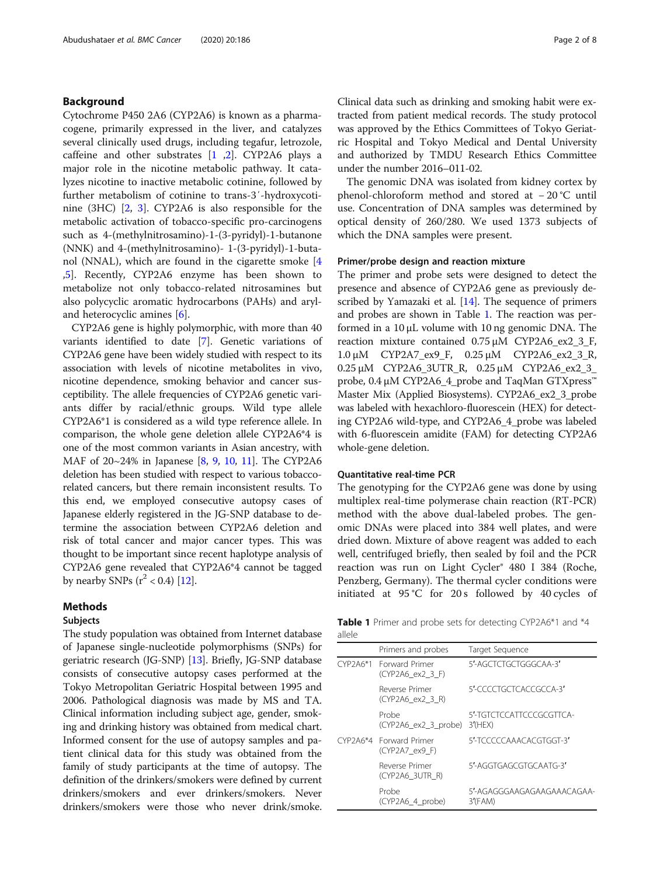# Background

Cytochrome P450 2A6 (CYP2A6) is known as a pharmacogene, primarily expressed in the liver, and catalyzes several clinically used drugs, including tegafur, letrozole, caffeine and other substrates [[1](#page-6-0) ,[2\]](#page-6-0). CYP2A6 plays a major role in the nicotine metabolic pathway. It catalyzes nicotine to inactive metabolic cotinine, followed by further metabolism of cotinine to trans-3′-hydroxycotinine (3HC) [[2](#page-6-0), [3](#page-6-0)]. CYP2A6 is also responsible for the metabolic activation of tobacco-specific pro-carcinogens such as 4-(methylnitrosamino)-1-(3-pyridyl)-1-butanone (NNK) and 4-(methylnitrosamino)- 1-(3-pyridyl)-1-butanol (NNAL), which are found in the cigarette smoke [[4](#page-6-0) ,[5\]](#page-6-0). Recently, CYP2A6 enzyme has been shown to metabolize not only tobacco-related nitrosamines but also polycyclic aromatic hydrocarbons (PAHs) and aryland heterocyclic amines [\[6](#page-6-0)].

CYP2A6 gene is highly polymorphic, with more than 40 variants identified to date [[7\]](#page-6-0). Genetic variations of CYP2A6 gene have been widely studied with respect to its association with levels of nicotine metabolites in vivo, nicotine dependence, smoking behavior and cancer susceptibility. The allele frequencies of CYP2A6 genetic variants differ by racial/ethnic groups. Wild type allele CYP2A6\*1 is considered as a wild type reference allele. In comparison, the whole gene deletion allele CYP2A6\*4 is one of the most common variants in Asian ancestry, with MAF of 20~24% in Japanese [\[8](#page-6-0), [9,](#page-6-0) [10,](#page-6-0) [11](#page-6-0)]. The CYP2A6 deletion has been studied with respect to various tobaccorelated cancers, but there remain inconsistent results. To this end, we employed consecutive autopsy cases of Japanese elderly registered in the JG-SNP database to determine the association between CYP2A6 deletion and risk of total cancer and major cancer types. This was thought to be important since recent haplotype analysis of CYP2A6 gene revealed that CYP2A6\*4 cannot be tagged by nearby SNPs  $(r^2 < 0.4)$  [[12](#page-6-0)].

### Methods

#### Subjects

The study population was obtained from Internet database of Japanese single-nucleotide polymorphisms (SNPs) for geriatric research (JG-SNP) [\[13\]](#page-6-0). Briefly, JG-SNP database consists of consecutive autopsy cases performed at the Tokyo Metropolitan Geriatric Hospital between 1995 and 2006. Pathological diagnosis was made by MS and TA. Clinical information including subject age, gender, smoking and drinking history was obtained from medical chart. Informed consent for the use of autopsy samples and patient clinical data for this study was obtained from the family of study participants at the time of autopsy. The definition of the drinkers/smokers were defined by current drinkers/smokers and ever drinkers/smokers. Never drinkers/smokers were those who never drink/smoke.

Clinical data such as drinking and smoking habit were extracted from patient medical records. The study protocol was approved by the Ethics Committees of Tokyo Geriatric Hospital and Tokyo Medical and Dental University and authorized by TMDU Research Ethics Committee under the number 2016–011-02.

The genomic DNA was isolated from kidney cortex by phenol-chloroform method and stored at − 20 °C until use. Concentration of DNA samples was determined by optical density of 260/280. We used 1373 subjects of which the DNA samples were present.

#### Primer/probe design and reaction mixture

The primer and probe sets were designed to detect the presence and absence of CYP2A6 gene as previously described by Yamazaki et al. [\[14\]](#page-6-0). The sequence of primers and probes are shown in Table 1. The reaction was performed in a 10 μL volume with 10 ng genomic DNA. The reaction mixture contained 0.75 μM CYP2A6\_ex2\_3\_F, 1.0 μM CYP2A7\_ex9\_F, 0.25 μM CYP2A6\_ex2\_3\_R, 0.25 μM CYP2A6\_3UTR\_R, 0.25 μM CYP2A6\_ex2\_3\_ probe, 0.4 μM CYP2A6\_4\_probe and TaqMan GTXpress<sup>™</sup> Master Mix (Applied Biosystems). CYP2A6\_ex2\_3\_probe was labeled with hexachloro-fluorescein (HEX) for detecting CYP2A6 wild-type, and CYP2A6\_4\_probe was labeled with 6-fluorescein amidite (FAM) for detecting CYP2A6 whole-gene deletion.

#### Quantitative real-time PCR

The genotyping for the CYP2A6 gene was done by using multiplex real-time polymerase chain reaction (RT-PCR) method with the above dual-labeled probes. The genomic DNAs were placed into 384 well plates, and were dried down. Mixture of above reagent was added to each well, centrifuged briefly, then sealed by foil and the PCR reaction was run on Light Cycler® 480 I 384 (Roche, Penzberg, Germany). The thermal cycler conditions were initiated at 95 °C for 20 s followed by 40 cycles of

Table 1 Primer and probe sets for detecting CYP2A6\*1 and \*4 allele

| Primers and probes                               | Target Sequence                        |
|--------------------------------------------------|----------------------------------------|
| CYP2A6*1 Forward Primer<br>$(CYP2A6$ ex $2$ 3 F) | 5'-AGCTCTGCTGGGCAA-3'                  |
| Reverse Primer<br>$(CYP2A6$ ex $2$ 3 R)          | 5'-CCCCTGCTCACCGCCA-3'                 |
| Probe<br>(CYP2A6_ex2_3_probe)                    | 5'-TGTCTCCATTCCCGCGTTCA-<br>$3'$ (HEX) |
| CYP2A6*4 Forward Primer<br>(CYP2A7 ex9 F)        | 5'-TCCCCCAAACACGTGGT-3'                |
| Reverse Primer<br>(CYP2A6 3UTR R)                | 5'-AGGTGAGCGTGCAATG-3'                 |
| Probe<br>(CYP2A6 4 probe)                        | 5'-AGAGGGAAGAGAAGAAACAGAA-<br>3'(FAM)  |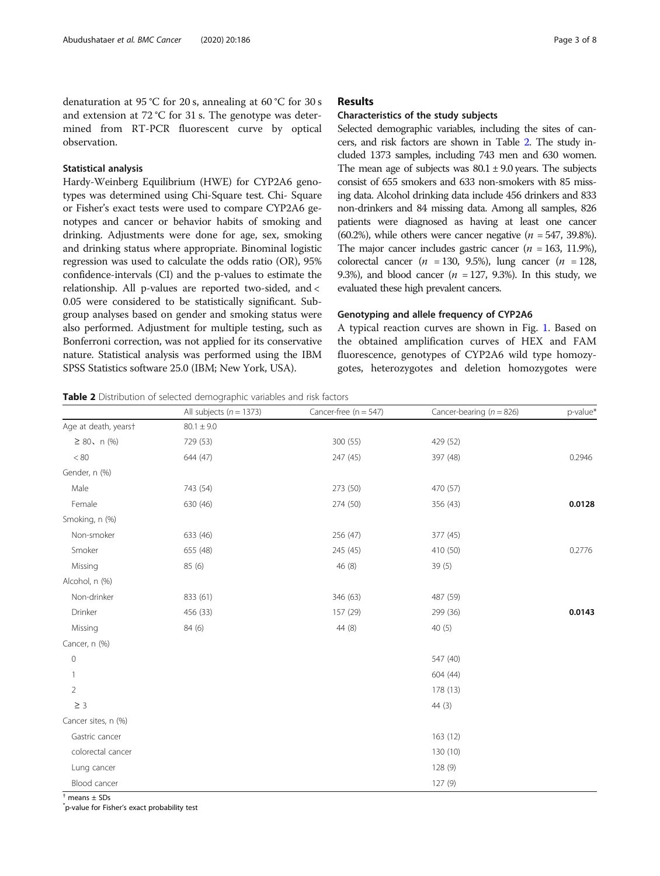denaturation at 95 °C for 20 s, annealing at 60 °C for 30 s and extension at 72 °C for 31 s. The genotype was determined from RT-PCR fluorescent curve by optical observation.

#### Statistical analysis

Hardy-Weinberg Equilibrium (HWE) for CYP2A6 genotypes was determined using Chi-Square test. Chi- Square or Fisher's exact tests were used to compare CYP2A6 genotypes and cancer or behavior habits of smoking and drinking. Adjustments were done for age, sex, smoking and drinking status where appropriate. Binominal logistic regression was used to calculate the odds ratio (OR), 95% confidence-intervals (CI) and the p-values to estimate the relationship. All p-values are reported two-sided, and < 0.05 were considered to be statistically significant. Subgroup analyses based on gender and smoking status were also performed. Adjustment for multiple testing, such as Bonferroni correction, was not applied for its conservative nature. Statistical analysis was performed using the IBM SPSS Statistics software 25.0 (IBM; New York, USA).

# Results

#### Characteristics of the study subjects

Selected demographic variables, including the sites of cancers, and risk factors are shown in Table 2. The study included 1373 samples, including 743 men and 630 women. The mean age of subjects was  $80.1 \pm 9.0$  years. The subjects consist of 655 smokers and 633 non-smokers with 85 missing data. Alcohol drinking data include 456 drinkers and 833 non-drinkers and 84 missing data. Among all samples, 826 patients were diagnosed as having at least one cancer (60.2%), while others were cancer negative  $(n = 547, 39.8\%)$ . The major cancer includes gastric cancer ( $n = 163, 11.9\%$ ), colorectal cancer ( $n = 130, 9.5\%$ ), lung cancer ( $n = 128$ , 9.3%), and blood cancer ( $n = 127$ , 9.3%). In this study, we evaluated these high prevalent cancers.

#### Genotyping and allele frequency of CYP2A6

A typical reaction curves are shown in Fig. [1.](#page-3-0) Based on the obtained amplification curves of HEX and FAM fluorescence, genotypes of CYP2A6 wild type homozygotes, heterozygotes and deletion homozygotes were

Table 2 Distribution of selected demographic variables and risk factors

|                      | All subjects ( $n = 1373$ ) | Cancer-free $(n = 547)$ | Cancer-bearing ( $n = 826$ ) | p-value* |
|----------------------|-----------------------------|-------------------------|------------------------------|----------|
| Age at death, yearst | $80.1 \pm 9.0$              |                         |                              |          |
| $\geq 80$ , n (%)    | 729 (53)                    | 300 (55)                | 429 (52)                     |          |
| $< 80\,$             | 644 (47)                    | 247 (45)                | 397 (48)                     | 0.2946   |
| Gender, n (%)        |                             |                         |                              |          |
| Male                 | 743 (54)                    | 273 (50)                | 470 (57)                     |          |
| Female               | 630 (46)                    | 274 (50)                | 356 (43)                     | 0.0128   |
| Smoking, n (%)       |                             |                         |                              |          |
| Non-smoker           | 633 (46)                    | 256 (47)                | 377 (45)                     |          |
| Smoker               | 655 (48)                    | 245 (45)                | 410 (50)                     | 0.2776   |
| Missing              | 85 (6)                      | 46(8)                   | 39(5)                        |          |
| Alcohol, n (%)       |                             |                         |                              |          |
| Non-drinker          | 833 (61)                    | 346 (63)                | 487 (59)                     |          |
| Drinker              | 456 (33)                    | 157 (29)                | 299 (36)                     | 0.0143   |
| Missing              | 84 (6)                      | 44 (8)                  | 40 (5)                       |          |
| Cancer, n (%)        |                             |                         |                              |          |
| $\mathbf 0$          |                             |                         | 547 (40)                     |          |
| 1                    |                             |                         | 604 (44)                     |          |
| $\overline{2}$       |                             |                         | 178 (13)                     |          |
| $\geq$ 3             |                             |                         | 44(3)                        |          |
| Cancer sites, n (%)  |                             |                         |                              |          |
| Gastric cancer       |                             |                         | 163(12)                      |          |
| colorectal cancer    |                             |                         | 130 (10)                     |          |
| Lung cancer          |                             |                         | 128(9)                       |          |
| Blood cancer         |                             |                         | 127 (9)                      |          |

 $<sup>†</sup>$  means  $\pm$  SDs</sup>

\* p-value for Fisher's exact probability test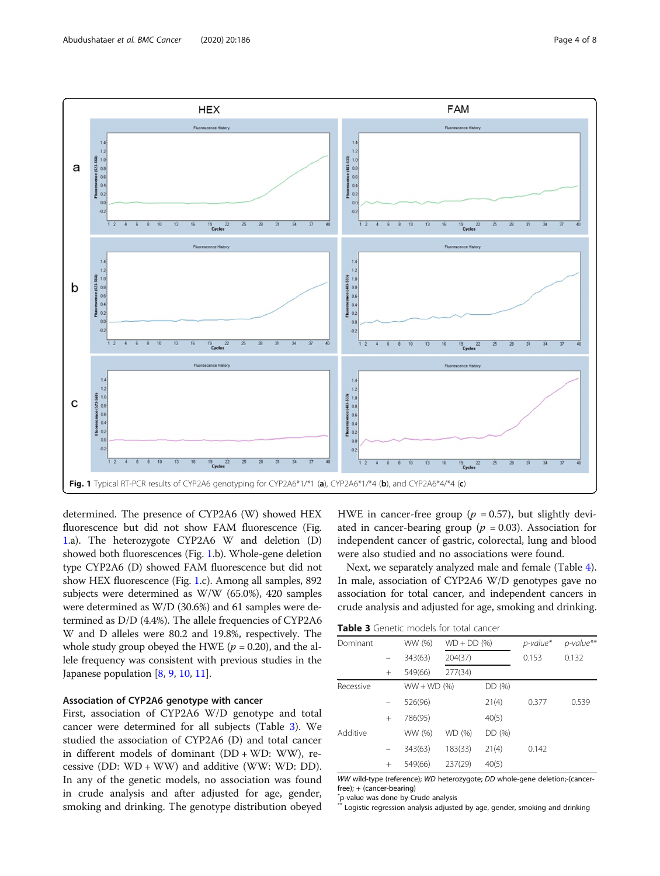<span id="page-3-0"></span>

determined. The presence of CYP2A6 (W) showed HEX fluorescence but did not show FAM fluorescence (Fig. 1.a). The heterozygote CYP2A6 W and deletion (D) showed both fluorescences (Fig. 1.b). Whole-gene deletion type CYP2A6 (D) showed FAM fluorescence but did not show HEX fluorescence (Fig. 1.c). Among all samples, 892 subjects were determined as W/W (65.0%), 420 samples were determined as W/D (30.6%) and 61 samples were determined as D/D (4.4%). The allele frequencies of CYP2A6 W and D alleles were 80.2 and 19.8%, respectively. The whole study group obeyed the HWE ( $p = 0.20$ ), and the allele frequency was consistent with previous studies in the Japanese population [[8](#page-6-0), [9,](#page-6-0) [10](#page-6-0), [11\]](#page-6-0).

# Association of CYP2A6 genotype with cancer

First, association of CYP2A6 W/D genotype and total cancer were determined for all subjects (Table 3). We studied the association of CYP2A6 (D) and total cancer in different models of dominant (DD + WD: WW), recessive (DD: WD + WW) and additive (WW: WD: DD). In any of the genetic models, no association was found in crude analysis and after adjusted for age, gender, smoking and drinking. The genotype distribution obeyed

HWE in cancer-free group ( $p = 0.57$ ), but slightly deviated in cancer-bearing group ( $p = 0.03$ ). Association for independent cancer of gastric, colorectal, lung and blood were also studied and no associations were found.

Next, we separately analyzed male and female (Table [4](#page-4-0)). In male, association of CYP2A6 W/D genotypes gave no association for total cancer, and independent cancers in crude analysis and adjusted for age, smoking and drinking.

Table 3 Genetic models for total cancer

| Dominant  |        | WW (%)        | $WD + DD$ (%) |        | $p$ -value* | p-value** |
|-----------|--------|---------------|---------------|--------|-------------|-----------|
|           |        | 343(63)       | 204(37)       |        | 0.153       | 0.132     |
|           | $^{+}$ | 549(66)       | 277(34)       |        |             |           |
| Recessive |        | $WW + WD (%)$ |               | DD (%) |             |           |
|           |        | 526(96)       |               | 21(4)  | 0.377       | 0.539     |
|           | $+$    | 786(95)       |               | 40(5)  |             |           |
| Additive  |        | WW (%)        | WD (%)        | DD (%) |             |           |
|           |        | 343(63)       | 183(33)       | 21(4)  | 0.142       |           |
|           | $^{+}$ | 549(66)       | 237(29)       | 40(5)  |             |           |

WW wild-type (reference); WD heterozygote; DD whole-gene deletion;-(cancerfree); + (cancer-bearing)

\* p-value was done by Crude analysis

Logistic regression analysis adjusted by age, gender, smoking and drinking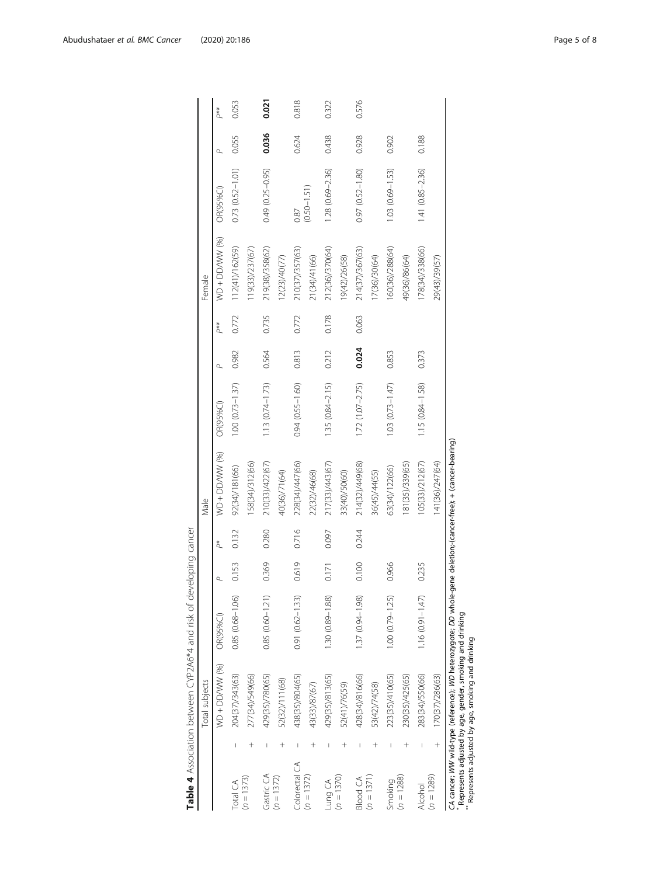<span id="page-4-0"></span>

|                 |        | Total subjects                                                                                                  |                      |       |       | Male            |                        |       |       | Female          |                     |       |       |
|-----------------|--------|-----------------------------------------------------------------------------------------------------------------|----------------------|-------|-------|-----------------|------------------------|-------|-------|-----------------|---------------------|-------|-------|
|                 |        | WD + DD/WW (%)                                                                                                  | OR(95%Cl)            |       | Ä     | WD + DD/WW (%)  | OR(95%CI)              |       | p**   | WD + DD/WW (%)  | OR(95%Cl)           |       | p**   |
| Total CA        |        | 204(37)/343(63)                                                                                                 | $0.85(0.68 - 1.06)$  | 0.153 | 0.132 | 92(34)/181(66)  | $1.00 (0.73 - 1.37)$   | 0.982 | 0.772 | 112(41)/162(59) | $0.73(0.52 - 1.01)$ | 0.055 | 0.053 |
| $(n = 1373)$    |        | 277(34)/549(66)                                                                                                 |                      |       |       | 158(34)/312(66) |                        |       |       | 119(33)/237(67) |                     |       |       |
| Gastric CA      |        | 429(35)/780(65)                                                                                                 | $0.85(0.60 - 1.21)$  | 0.369 | 0.280 | 210(33)/422(67) | $1.13(0.74 - 1.73)$    | 0.564 | 0.735 | 219(38)/358(62) | $0.49(0.25 - 0.95)$ | 0.036 | 0.021 |
| $(n = 1372)$    |        | 52(32)/111(68)                                                                                                  |                      |       |       | 40(36)/71(64)   |                        |       |       | 12(23)/40(77)   |                     |       |       |
| Colorectal CA   |        | 438(35)/804(65)                                                                                                 | $0.91(0.62 - 1.33)$  | 0.619 | 0.716 | 228(34)/447(66) | $0.94(0.55 - 1.60)$    | 0.813 | 0.772 | 210(37)/357(63) | 0.87                | 0.624 | 0.818 |
| $(n = 1372)$    |        | 43(33)/87(67)                                                                                                   |                      |       |       | 22(32)/46(68)   |                        |       |       | 21(34)/41(66)   | $(0.50 - 1.51)$     |       |       |
| Lung CA         |        | 429(35)/813(65)                                                                                                 | 1.30 (0.89-1.88)     | 0.171 | 0.097 | 217(33)/443(67) | 1.35 (0.84-2.15)       | 0.212 | 0.178 | 212(36)/370(64) | 1.28 (0.69-2.36)    | 0.438 | 0.322 |
| $(n = 1370)$    |        | 52(41)/76(59)                                                                                                   |                      |       |       | 33(40)/50(60)   |                        |       |       | 19(42)/26(58)   |                     |       |       |
| <b>Blood CA</b> |        | 428(34)/816(66)                                                                                                 | 1.37 (0.94-1.98)     | 0.100 | 0.244 | 214(32)/449(68) | $1.72(1.07-2.75)$      | 0.024 | 0.063 | 214(37)/367(63) | $0.97(0.52 - 1.80)$ | 0.928 | 0.576 |
| $(n = 1371)$    |        | 53(42)/74(58)                                                                                                   |                      |       |       | 36(45)/44(55)   |                        |       |       | 17(36)/30(64)   |                     |       |       |
| Smoking         |        | 223(35)/410(65)                                                                                                 | $1.00 (0.79 - 1.25)$ | 0.966 |       | 63(34)/122(66)  | $1.03$ $(0.73 - 1.47)$ | 0.853 |       | 160(36)/288(64) | 1.03 (0.69-1.53)    | 0.902 |       |
| $(n = 1288)$    |        | 230(35)/425(65)                                                                                                 |                      |       |       | 181(35)/339(65) |                        |       |       | 49(36)/86(64)   |                     |       |       |
| Alcohol         |        | 283(34)/550(66)                                                                                                 | $1.16(0.91 - 1.47)$  | 0.235 |       | 105(33)/212(67) | 1.15 (0.84-1.58)       | 0.373 |       | 178(34)/338(66) | $1.41(0.85 - 2.36)$ | 0.188 |       |
| $(n = 1289)$    | $^{+}$ | 170(37)/286(63)                                                                                                 |                      |       |       | 141(36)/247(64) |                        |       |       | 29(43)/39(57)   |                     |       |       |
|                 |        | CA cancer; WW wild-type (reference); WD heterozygote: DD whole-gene deletion;-(cancer-free); + (cancer-bearing) |                      |       |       |                 |                        |       |       |                 |                     |       |       |

Table 4 Association between CYP2A6\*4 and risk of developing cancer Table 4 Association between CYP2A6\*4 and risk of developing cancer

 Represents adjusted by age, gender, smoking and drinking \*\* Represents adjusted by age, smoking and drinking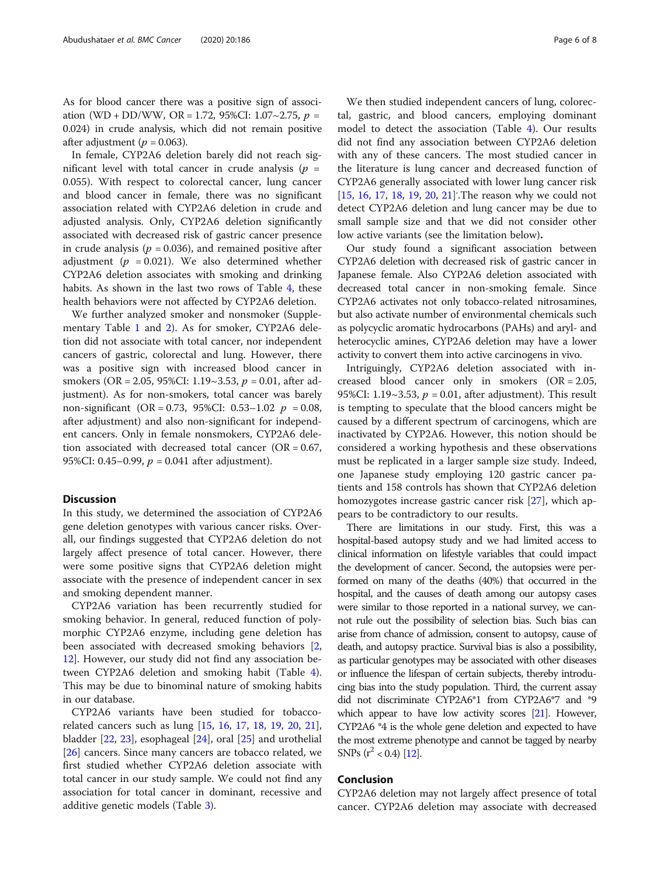As for blood cancer there was a positive sign of association (WD + DD/WW, OR = 1.72, 95%CI: 1.07~2.75,  $p =$ 0.024) in crude analysis, which did not remain positive after adjustment ( $p = 0.063$ ).

In female, CYP2A6 deletion barely did not reach significant level with total cancer in crude analysis ( $p =$ 0.055). With respect to colorectal cancer, lung cancer and blood cancer in female, there was no significant association related with CYP2A6 deletion in crude and adjusted analysis. Only, CYP2A6 deletion significantly associated with decreased risk of gastric cancer presence in crude analysis ( $p = 0.036$ ), and remained positive after adjustment ( $p = 0.021$ ). We also determined whether CYP2A6 deletion associates with smoking and drinking habits. As shown in the last two rows of Table [4,](#page-4-0) these health behaviors were not affected by CYP2A6 deletion.

We further analyzed smoker and nonsmoker (Supplementary Table [1](#page-6-0) and [2\)](#page-6-0). As for smoker, CYP2A6 deletion did not associate with total cancer, nor independent cancers of gastric, colorectal and lung. However, there was a positive sign with increased blood cancer in smokers (OR = 2.05, 95%CI: 1.19~3.53,  $p = 0.01$ , after adjustment). As for non-smokers, total cancer was barely non-significant (OR = 0.73, 95%CI: 0.53–1.02  $p = 0.08$ , after adjustment) and also non-significant for independent cancers. Only in female nonsmokers, CYP2A6 deletion associated with decreased total cancer ( $OR = 0.67$ , 95%CI: 0.45–0.99,  $p = 0.041$  after adjustment).

## **Discussion**

In this study, we determined the association of CYP2A6 gene deletion genotypes with various cancer risks. Overall, our findings suggested that CYP2A6 deletion do not largely affect presence of total cancer. However, there were some positive signs that CYP2A6 deletion might associate with the presence of independent cancer in sex and smoking dependent manner.

CYP2A6 variation has been recurrently studied for smoking behavior. In general, reduced function of polymorphic CYP2A6 enzyme, including gene deletion has been associated with decreased smoking behaviors [[2](#page-6-0), [12\]](#page-6-0). However, our study did not find any association between CYP2A6 deletion and smoking habit (Table [4](#page-4-0)). This may be due to binominal nature of smoking habits in our database.

CYP2A6 variants have been studied for tobaccorelated cancers such as lung [[15](#page-6-0), [16,](#page-6-0) [17,](#page-6-0) [18](#page-7-0), [19,](#page-7-0) [20,](#page-7-0) [21](#page-7-0)], bladder [\[22](#page-7-0), [23](#page-7-0)], esophageal [\[24](#page-7-0)], oral [\[25](#page-7-0)] and urothelial [[26\]](#page-7-0) cancers. Since many cancers are tobacco related, we first studied whether CYP2A6 deletion associate with total cancer in our study sample. We could not find any association for total cancer in dominant, recessive and additive genetic models (Table [3\)](#page-3-0).

We then studied independent cancers of lung, colorectal, gastric, and blood cancers, employing dominant model to detect the association (Table [4](#page-4-0)). Our results did not find any association between CYP2A6 deletion with any of these cancers. The most studied cancer in the literature is lung cancer and decreased function of CYP2A6 generally associated with lower lung cancer risk [[15,](#page-6-0) [16,](#page-6-0) [17,](#page-6-0) [18](#page-7-0), [19](#page-7-0), [20](#page-7-0), [21\]](#page-7-0)'. The reason why we could not detect CYP2A6 deletion and lung cancer may be due to small sample size and that we did not consider other low active variants (see the limitation below).

Our study found a significant association between CYP2A6 deletion with decreased risk of gastric cancer in Japanese female. Also CYP2A6 deletion associated with decreased total cancer in non-smoking female. Since CYP2A6 activates not only tobacco-related nitrosamines, but also activate number of environmental chemicals such as polycyclic aromatic hydrocarbons (PAHs) and aryl- and heterocyclic amines, CYP2A6 deletion may have a lower activity to convert them into active carcinogens in vivo.

Intriguingly, CYP2A6 deletion associated with increased blood cancer only in smokers (OR = 2.05, 95%CI: 1.19~3.53,  $p = 0.01$ , after adjustment). This result is tempting to speculate that the blood cancers might be caused by a different spectrum of carcinogens, which are inactivated by CYP2A6. However, this notion should be considered a working hypothesis and these observations must be replicated in a larger sample size study. Indeed, one Japanese study employing 120 gastric cancer patients and 158 controls has shown that CYP2A6 deletion homozygotes increase gastric cancer risk [\[27](#page-7-0)], which appears to be contradictory to our results.

There are limitations in our study. First, this was a hospital-based autopsy study and we had limited access to clinical information on lifestyle variables that could impact the development of cancer. Second, the autopsies were performed on many of the deaths (40%) that occurred in the hospital, and the causes of death among our autopsy cases were similar to those reported in a national survey, we cannot rule out the possibility of selection bias. Such bias can arise from chance of admission, consent to autopsy, cause of death, and autopsy practice. Survival bias is also a possibility, as particular genotypes may be associated with other diseases or influence the lifespan of certain subjects, thereby introducing bias into the study population. Third, the current assay did not discriminate CYP2A6\*1 from CYP2A6\*7 and \*9 which appear to have low activity scores [[21\]](#page-7-0). However, CYP2A6 \*4 is the whole gene deletion and expected to have the most extreme phenotype and cannot be tagged by nearby SNPs  $(r^2 < 0.4)$  [[12\]](#page-6-0).

# Conclusion

CYP2A6 deletion may not largely affect presence of total cancer. CYP2A6 deletion may associate with decreased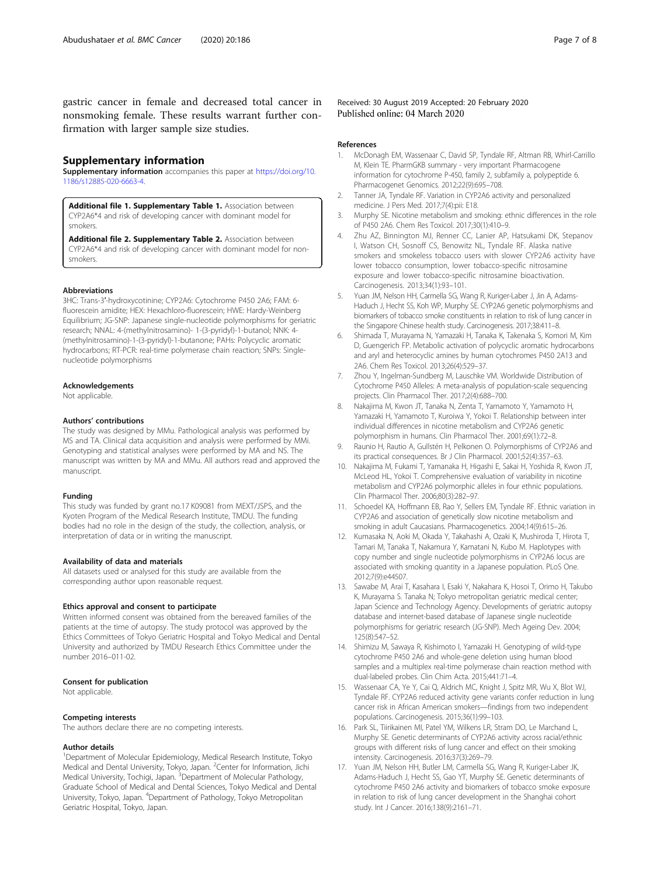<span id="page-6-0"></span>gastric cancer in female and decreased total cancer in nonsmoking female. These results warrant further confirmation with larger sample size studies.

#### Supplementary information

Supplementary information accompanies this paper at [https://doi.org/10.](https://doi.org/10.1186/s12885-020-6663-4) [1186/s12885-020-6663-4.](https://doi.org/10.1186/s12885-020-6663-4)

Additional file 1. Supplementary Table 1. Association between CYP2A6\*4 and risk of developing cancer with dominant model for smokers.

Additional file 2. Supplementary Table 2. Association between CYP2A6\*4 and risk of developing cancer with dominant model for nonsmokers.

#### Abbreviations

3HC: Trans-3′-hydroxycotinine; CYP2A6: Cytochrome P450 2A6; FAM: 6 fluorescein amidite; HEX: Hexachloro-fluorescein; HWE: Hardy-Weinberg Equilibrium; JG-SNP: Japanese single-nucleotide polymorphisms for geriatric research; NNAL: 4-(methylnitrosamino)- 1-(3-pyridyl)-1-butanol; NNK: 4- (methylnitrosamino)-1-(3-pyridyl)-1-butanone; PAHs: Polycyclic aromatic hydrocarbons; RT-PCR: real-time polymerase chain reaction; SNPs: Singlenucleotide polymorphisms

#### Acknowledgements

Not applicable.

#### Authors' contributions

The study was designed by MMu. Pathological analysis was performed by MS and TA. Clinical data acquisition and analysis were performed by MMi. Genotyping and statistical analyses were performed by MA and NS. The manuscript was written by MA and MMu. All authors read and approved the manuscript.

#### Funding

This study was funded by grant no.17 K09081 from MEXT/JSPS, and the Kyoten Program of the Medical Research Institute, TMDU. The funding bodies had no role in the design of the study, the collection, analysis, or interpretation of data or in writing the manuscript.

#### Availability of data and materials

All datasets used or analysed for this study are available from the corresponding author upon reasonable request.

#### Ethics approval and consent to participate

Written informed consent was obtained from the bereaved families of the patients at the time of autopsy. The study protocol was approved by the Ethics Committees of Tokyo Geriatric Hospital and Tokyo Medical and Dental University and authorized by TMDU Research Ethics Committee under the number 2016–011-02.

#### Consent for publication

Not applicable.

#### Competing interests

The authors declare there are no competing interests.

#### Author details

<sup>1</sup>Department of Molecular Epidemiology, Medical Research Institute, Tokyo Medical and Dental University, Tokyo, Japan. <sup>2</sup> Center for Information, Jichi Medical University, Tochigi, Japan. <sup>3</sup>Department of Molecular Pathology, Graduate School of Medical and Dental Sciences, Tokyo Medical and Dental University, Tokyo, Japan. <sup>4</sup>Department of Pathology, Tokyo Metropolitan Geriatric Hospital, Tokyo, Japan.

Received: 30 August 2019 Accepted: 20 February 2020 Published online: 04 March 2020

#### References

- 1. McDonagh EM, Wassenaar C, David SP, Tyndale RF, Altman RB, Whirl-Carrillo M, Klein TE. PharmGKB summary - very important Pharmacogene information for cytochrome P-450, family 2, subfamily a, polypeptide 6. Pharmacogenet Genomics. 2012;22(9):695–708.
- 2. Tanner JA, Tyndale RF. Variation in CYP2A6 activity and personalized medicine. J Pers Med. 2017;7(4):pii: E18.
- 3. Murphy SE. Nicotine metabolism and smoking: ethnic differences in the role of P450 2A6. Chem Res Toxicol. 2017;30(1):410–9.
- 4. Zhu AZ, Binnington MJ, Renner CC, Lanier AP, Hatsukami DK, Stepanov I, Watson CH, Sosnoff CS, Benowitz NL, Tyndale RF. Alaska native smokers and smokeless tobacco users with slower CYP2A6 activity have lower tobacco consumption, lower tobacco-specific nitrosamine exposure and lower tobacco-specific nitrosamine bioactivation. Carcinogenesis. 2013;34(1):93–101.
- 5. Yuan JM, Nelson HH, Carmella SG, Wang R, Kuriger-Laber J, Jin A, Adams-Haduch J, Hecht SS, Koh WP, Murphy SE. CYP2A6 genetic polymorphisms and biomarkers of tobacco smoke constituents in relation to risk of lung cancer in the Singapore Chinese health study. Carcinogenesis. 2017;38:411–8.
- 6. Shimada T, Murayama N, Yamazaki H, Tanaka K, Takenaka S, Komori M, Kim D, Guengerich FP. Metabolic activation of polycyclic aromatic hydrocarbons and aryl and heterocyclic amines by human cytochromes P450 2A13 and 2A6. Chem Res Toxicol. 2013;26(4):529–37.
- 7. Zhou Y, Ingelman-Sundberg M, Lauschke VM. Worldwide Distribution of Cytochrome P450 Alleles: A meta-analysis of population-scale sequencing projects. Clin Pharmacol Ther. 2017;2(4):688–700.
- 8. Nakajima M, Kwon JT, Tanaka N, Zenta T, Yamamoto Y, Yamamoto H, Yamazaki H, Yamamoto T, Kuroiwa Y, Yokoi T. Relationship between inter individual differences in nicotine metabolism and CYP2A6 genetic polymorphism in humans. Clin Pharmacol Ther. 2001;69(1):72–8.
- 9. Raunio H, Rautio A, Gullstén H, Pelkonen O. Polymorphisms of CYP2A6 and its practical consequences. Br J Clin Pharmacol. 2001;52(4):357–63.
- 10. Nakajima M, Fukami T, Yamanaka H, Higashi E, Sakai H, Yoshida R, Kwon JT, McLeod HL, Yokoi T. Comprehensive evaluation of variability in nicotine metabolism and CYP2A6 polymorphic alleles in four ethnic populations. Clin Pharmacol Ther. 2006;80(3):282–97.
- 11. Schoedel KA, Hoffmann EB, Rao Y, Sellers EM, Tyndale RF. Ethnic variation in CYP2A6 and association of genetically slow nicotine metabolism and smoking in adult Caucasians. Pharmacogenetics. 2004;14(9):615–26.
- 12. Kumasaka N, Aoki M, Okada Y, Takahashi A, Ozaki K, Mushiroda T, Hirota T, Tamari M, Tanaka T, Nakamura Y, Kamatani N, Kubo M. Haplotypes with copy number and single nucleotide polymorphisms in CYP2A6 locus are associated with smoking quantity in a Japanese population. PLoS One. 2012;7(9):e44507.
- 13. Sawabe M, Arai T, Kasahara I, Esaki Y, Nakahara K, Hosoi T, Orimo H, Takubo K, Murayama S. Tanaka N; Tokyo metropolitan geriatric medical center; Japan Science and Technology Agency. Developments of geriatric autopsy database and internet-based database of Japanese single nucleotide polymorphisms for geriatric research (JG-SNP). Mech Ageing Dev. 2004; 125(8):547–52.
- 14. Shimizu M, Sawaya R, Kishimoto I, Yamazaki H. Genotyping of wild-type cytochrome P450 2A6 and whole-gene deletion using human blood samples and a multiplex real-time polymerase chain reaction method with dual-labeled probes. Clin Chim Acta. 2015;441:71–4.
- 15. Wassenaar CA, Ye Y, Cai Q, Aldrich MC, Knight J, Spitz MR, Wu X, Blot WJ, Tyndale RF. CYP2A6 reduced activity gene variants confer reduction in lung cancer risk in African American smokers—findings from two independent populations. Carcinogenesis. 2015;36(1):99–103.
- 16. Park SL, Tiirikainen MI, Patel YM, Wilkens LR, Stram DO, Le Marchand L, Murphy SE. Genetic determinants of CYP2A6 activity across racial/ethnic groups with different risks of lung cancer and effect on their smoking intensity. Carcinogenesis. 2016;37(3):269–79.
- 17. Yuan JM, Nelson HH, Butler LM, Carmella SG, Wang R, Kuriger-Laber JK, Adams-Haduch J, Hecht SS, Gao YT, Murphy SE. Genetic determinants of cytochrome P450 2A6 activity and biomarkers of tobacco smoke exposure in relation to risk of lung cancer development in the Shanghai cohort study. Int J Cancer. 2016;138(9):2161–71.